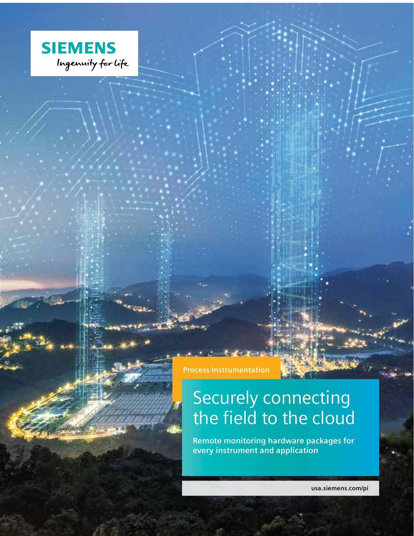

**Process Instrumentation**

# Securely connecting the field to the cloud

**Remote monitoring hardware packages for every instrument and application**

**usa.siemens.com/pi**